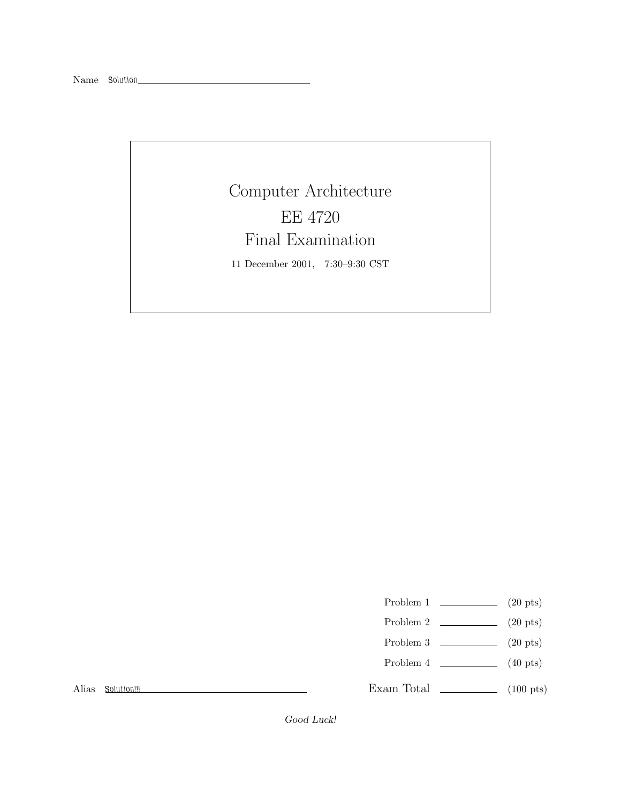## Computer Architecture EE 4720 Final Examination

11 December 2001, 7:30–9:30 CST

- Problem 1  $\qquad \qquad (20 \text{ pts})$
- Problem 2  $\qquad \qquad (20 \text{ pts})$
- Problem 3  $\qquad \qquad (20 \text{ pts})$
- Problem 4  $\qquad \qquad (40 \text{ pts})$

Alias *Solution!!!*

Exam Total \_\_\_\_\_\_\_\_\_\_\_\_\_ (100 pts)

Good Luck!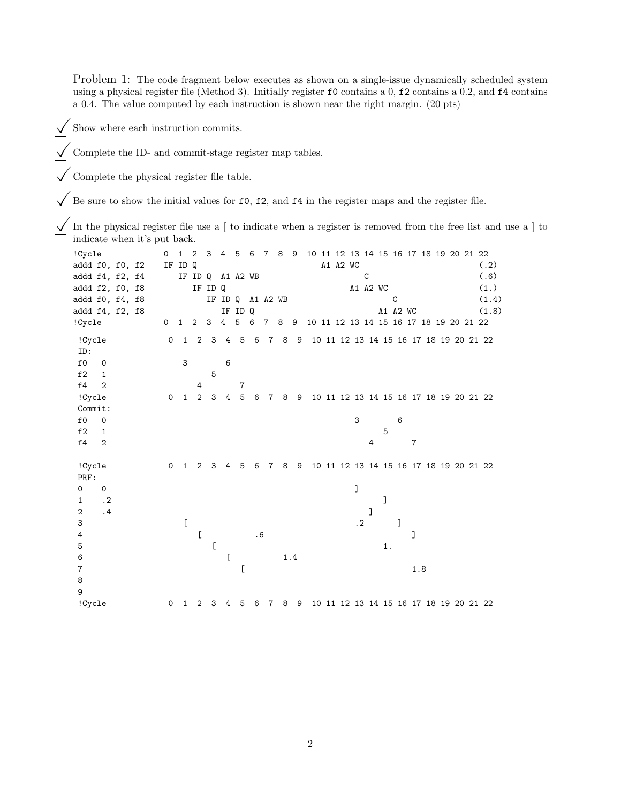Problem 1: The code fragment below executes as shown on a single-issue dynamically scheduled system using a physical register file (Method 3). Initially register  $f0$  contains a 0,  $f2$  contains a 0.2, and  $f4$  contains a 0.4. The value computed by each instruction is shown near the right margin. (20 pts)

- $\overrightarrow{\bigvee}$  Show where each instruction commits.
- $\sqrt{\phantom{a}}$  Complete the ID- and commit-stage register map tables.

 $\sqrt{\phantom{a}}$  Complete the physical register file table.

 $\overline{\bigvee}$  Be sure to show the initial values for f0, f2, and f4 in the register maps and the register file.

 $\sqrt{\ }$  In the physical register file use a [ to indicate when a register is removed from the free list and use a ] to indicate when it's put back.

| !Cycle          |                |  | 0            | $\mathbf{1}$ | $\overline{2}$                                                                                                                                    | 3                                                                                                                                                 | 4 5            |                | 6        | $\overline{7}$  | 8   | - 9 |  |          |           |               |          |   |     | 10 11 12 13 14 15 16 17 18 19 20 21 22 |  |       |
|-----------------|----------------|--|--------------|--------------|---------------------------------------------------------------------------------------------------------------------------------------------------|---------------------------------------------------------------------------------------------------------------------------------------------------|----------------|----------------|----------|-----------------|-----|-----|--|----------|-----------|---------------|----------|---|-----|----------------------------------------|--|-------|
| addd f0, f0, f2 |                |  |              | IF ID Q      |                                                                                                                                                   |                                                                                                                                                   |                |                |          |                 |     |     |  | A1 A2 WC |           |               |          |   |     |                                        |  | (.2)  |
| addd f4, f2, f4 |                |  |              |              | IF ID Q                                                                                                                                           |                                                                                                                                                   |                | A1 A2 WB       |          |                 |     |     |  |          |           | $\mathcal{C}$ |          |   |     |                                        |  | (.6)  |
| addd f2, f0, f8 |                |  |              |              |                                                                                                                                                   | IF ID Q                                                                                                                                           |                |                |          |                 |     |     |  |          |           | A1 A2 WC      |          |   |     |                                        |  | (1.)  |
| addd f0, f4, f8 |                |  |              |              |                                                                                                                                                   |                                                                                                                                                   | IF ID Q        |                | A1 A2 WB |                 |     |     |  |          |           |               |          | C |     |                                        |  | (1.4) |
| addd f4, f2, f8 |                |  |              |              |                                                                                                                                                   |                                                                                                                                                   |                | IF ID Q        |          |                 |     |     |  |          |           |               | A1 A2 WC |   |     |                                        |  | (1.8) |
| !Cycle          |                |  | $\circ$      | $\mathbf{1}$ | $\overline{c}$                                                                                                                                    | 3                                                                                                                                                 | $\overline{4}$ | 5              | 6        | 7               | 8   | 9   |  |          |           |               |          |   |     | 10 11 12 13 14 15 16 17 18 19 20 21 22 |  |       |
| !Cycle          |                |  | 0            | $\mathbf{1}$ | 2                                                                                                                                                 | 3                                                                                                                                                 | 4              | 5              | 6        | $7\phantom{.0}$ | 8   | 9   |  |          |           |               |          |   |     | 10 11 12 13 14 15 16 17 18 19 20 21 22 |  |       |
| ID:             |                |  |              |              |                                                                                                                                                   |                                                                                                                                                   |                |                |          |                 |     |     |  |          |           |               |          |   |     |                                        |  |       |
| f0              | 0              |  |              | 3            |                                                                                                                                                   |                                                                                                                                                   | 6              |                |          |                 |     |     |  |          |           |               |          |   |     |                                        |  |       |
| f2              | 1              |  |              |              |                                                                                                                                                   | 5                                                                                                                                                 |                |                |          |                 |     |     |  |          |           |               |          |   |     |                                        |  |       |
| f4              | $\overline{2}$ |  |              |              | 4                                                                                                                                                 |                                                                                                                                                   |                | $\overline{7}$ |          |                 |     |     |  |          |           |               |          |   |     |                                        |  |       |
| !Cycle          |                |  | 0            | $\mathbf{1}$ | $\overline{a}$                                                                                                                                    | 3                                                                                                                                                 | $\overline{4}$ | $\sqrt{5}$     | 6        | $7^{\circ}$     | 8   | 9   |  |          |           |               |          |   |     | 10 11 12 13 14 15 16 17 18 19 20 21 22 |  |       |
| Commit:         |                |  |              |              |                                                                                                                                                   |                                                                                                                                                   |                |                |          |                 |     |     |  |          |           |               |          |   |     |                                        |  |       |
| $f_{0}$         | $\mathbf 0$    |  |              |              |                                                                                                                                                   |                                                                                                                                                   |                |                |          |                 |     |     |  |          | 3         |               |          | 6 |     |                                        |  |       |
| f2              | 1              |  |              |              |                                                                                                                                                   |                                                                                                                                                   |                |                |          |                 |     |     |  |          |           |               | 5        |   |     |                                        |  |       |
| f4              | $\mathbf{2}$   |  |              |              |                                                                                                                                                   |                                                                                                                                                   |                |                |          |                 |     |     |  |          |           | 4             |          |   | 7   |                                        |  |       |
| !Cycle          |                |  | $\mathsf{O}$ | $\mathbf{1}$ | 2                                                                                                                                                 | 3                                                                                                                                                 | 4              | 5              | 6        | $7\phantom{.}$  | 8   | 9   |  |          |           |               |          |   |     | 10 11 12 13 14 15 16 17 18 19 20 21 22 |  |       |
| PRF:            |                |  |              |              |                                                                                                                                                   |                                                                                                                                                   |                |                |          |                 |     |     |  |          |           |               |          |   |     |                                        |  |       |
| 0               | 0              |  |              |              |                                                                                                                                                   |                                                                                                                                                   |                |                |          |                 |     |     |  |          | J         |               |          |   |     |                                        |  |       |
| 1               | $\cdot$ 2      |  |              |              |                                                                                                                                                   |                                                                                                                                                   |                |                |          |                 |     |     |  |          |           |               | J        |   |     |                                        |  |       |
| 2               | $\cdot$ 4      |  |              |              |                                                                                                                                                   |                                                                                                                                                   |                |                |          |                 |     |     |  |          |           | 1             |          |   |     |                                        |  |       |
| 3               |                |  |              | $\Gamma$     |                                                                                                                                                   |                                                                                                                                                   |                |                |          |                 |     |     |  |          | $\cdot$ 2 |               |          | 1 |     |                                        |  |       |
| 4               |                |  |              |              | $\mathsf{L}% _{0}\left( \mathsf{L}_{0}\right) ^{T}\left( \mathsf{L}_{0}\right) ^{T}\left( \mathsf{L}_{0}\right) ^{T}\left( \mathsf{L}_{0}\right)$ |                                                                                                                                                   |                |                | .6       |                 |     |     |  |          |           |               |          |   | 1   |                                        |  |       |
| 5               |                |  |              |              |                                                                                                                                                   | $\mathsf{L}% _{0}\left( \mathsf{L}_{0}\right) ^{T}\left( \mathsf{L}_{0}\right) ^{T}\left( \mathsf{L}_{0}\right) ^{T}\left( \mathsf{L}_{0}\right)$ |                |                |          |                 |     |     |  |          |           |               | 1.       |   |     |                                        |  |       |
| 6               |                |  |              |              |                                                                                                                                                   |                                                                                                                                                   | C              |                |          |                 |     | 1.4 |  |          |           |               |          |   |     |                                        |  |       |
| 7               |                |  |              |              |                                                                                                                                                   |                                                                                                                                                   |                | E              |          |                 |     |     |  |          |           |               |          |   | 1.8 |                                        |  |       |
| 8               |                |  |              |              |                                                                                                                                                   |                                                                                                                                                   |                |                |          |                 |     |     |  |          |           |               |          |   |     |                                        |  |       |
| 9               |                |  |              |              |                                                                                                                                                   |                                                                                                                                                   |                |                |          |                 |     |     |  |          |           |               |          |   |     |                                        |  |       |
| !Cycle          |                |  | 0            | $\mathbf{1}$ | 2                                                                                                                                                 | 3                                                                                                                                                 | 4              | 5              | 6        |                 | 789 |     |  |          |           |               |          |   |     | 10 11 12 13 14 15 16 17 18 19 20 21 22 |  |       |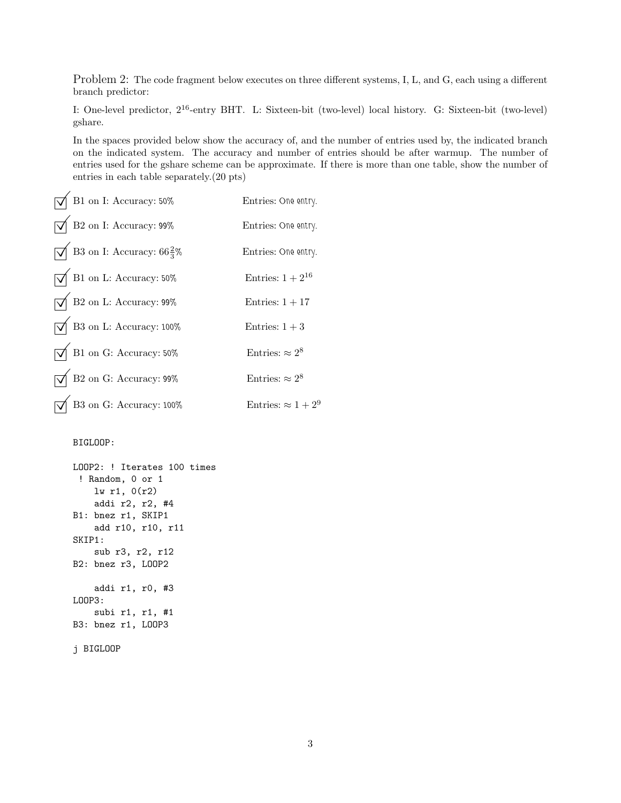Problem 2: The code fragment below executes on three different systems, I, L, and G, each using a different branch predictor:

I: One-level predictor, 2<sup>16</sup>-entry BHT. L: Sixteen-bit (two-level) local history. G: Sixteen-bit (two-level) gshare.

In the spaces provided below show the accuracy of, and the number of entries used by, the indicated branch on the indicated system. The accuracy and number of entries should be after warmup. The number of entries used for the gshare scheme can be approximate. If there is more than one table, show the number of entries in each table separately.(20 pts)

| $\int$ B1 on I: Accuracy: 50%                              | Entries: One entry.        |
|------------------------------------------------------------|----------------------------|
| $\sqrt{}$ B2 on I: Accuracy: 99%                           | Entries: One entry.        |
| $\sqrt{\phantom{0}}$ B3 on I: Accuracy: 66 $\frac{2}{3}$ % | Entries: One entry.        |
| $\sqrt{\phantom{a}}$ B1 on L: Accuracy: 50%                | Entries: $1+2^{16}$        |
| $\sqrt{\phantom{a}}$ B2 on L: Accuracy: 99%                | Entries: $1 + 17$          |
| $\sqrt{\phantom{0}}$ B3 on L: Accuracy: 100%               | Entries: $1+3$             |
| $\sqrt{\phantom{a}}$ B1 on G: Accuracy: 50%                | Entries: $\approx 2^8$     |
| $\sqrt{\phantom{a}}$ B2 on G: Accuracy: 99%                | Entries: $\approx 2^8$     |
| $\sqrt{\phantom{a}}$ B3 on G: Accuracy: 100%               | Entries: $\approx 1 + 2^9$ |
|                                                            |                            |

## BIGLOOP:

```
LOOP2: ! Iterates 100 times
 ! Random, 0 or 1
    lw r1, 0(r2)
    addi r2, r2, #4
B1: bnez r1, SKIP1
    add r10, r10, r11
SKIP1:
    sub r3, r2, r12
B2: bnez r3, LOOP2
    addi r1, r0, #3
LOOP3:
    subi r1, r1, #1
B3: bnez r1, LOOP3
j BIGLOOP
```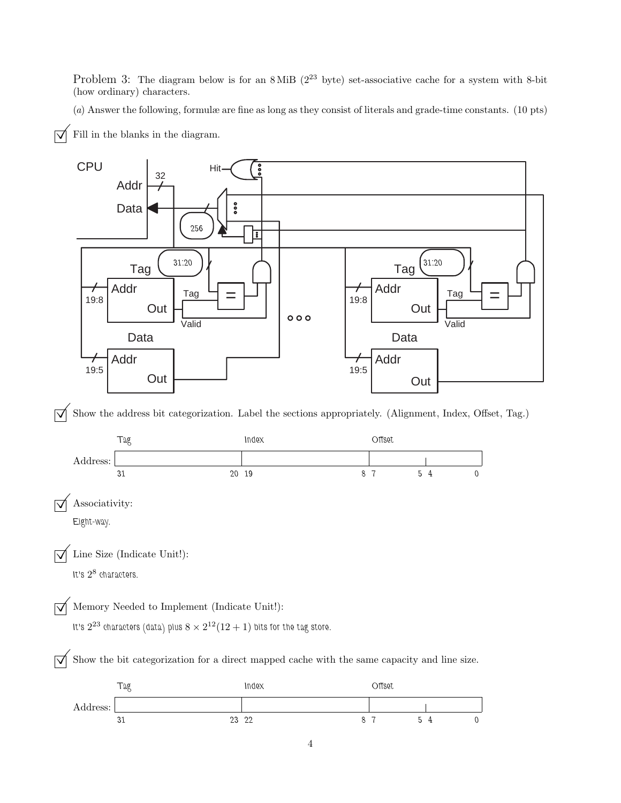Problem 3: The diagram below is for an  $8$  MiB ( $2^{23}$  byte) set-associative cache for a system with 8-bit (how ordinary) characters.

(a) Answer the following, formulæ are fine as long as they consist of literals and grade-time constants. (10 pts)



 $\overrightarrow{\mathsf{q}}$  Fill in the blanks in the diagram.

 $\overrightarrow{\mathcal{A}}$  Show the address bit categorization. Label the sections appropriately. (Alignment, Index, Offset, Tag.)

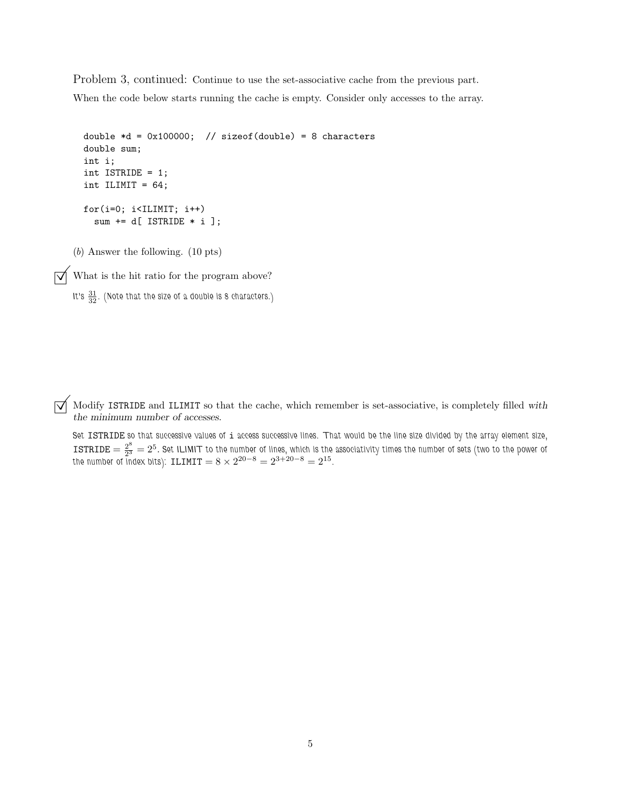Problem 3, continued: Continue to use the set-associative cache from the previous part. When the code below starts running the cache is empty. Consider only accesses to the array.

```
double *d = 0x100000; // sizeof(double) = 8 characters
double sum;
int i;
int ISTRIDE = 1;
int ILIMIT = 64;
for(i=0; i<ILIMIT; i++)
  sum += d[ ISTRIDE * i ];
```
(b) Answer the following. (10 pts)

 $\sqrt{\phantom{a}}$  What is the hit ratio for the program above?

```
It's 31
32 . (Note that the size of a double is 8 characters.)
```
 $\sqrt{\phantom{a}}$  Modify ISTRIDE and ILIMIT so that the cache, which remember is set-associative, is completely filled with the minimum number of accesses.

*Set* ISTRIDE *so that successive values of* i *access successive lines. That would be the line size divided by the array element size,*  $\tt{ISTRIDE} = \frac{2^8}{2^3} = 2^5.$  Set ILIMIT to the number of lines, which is the associativity times the number of sets (two to the power of the number of index bits):  $\text{ILIMIT} = 8 \times 2^{20-8} = 2^{3+20-8} = 2^{15}$ .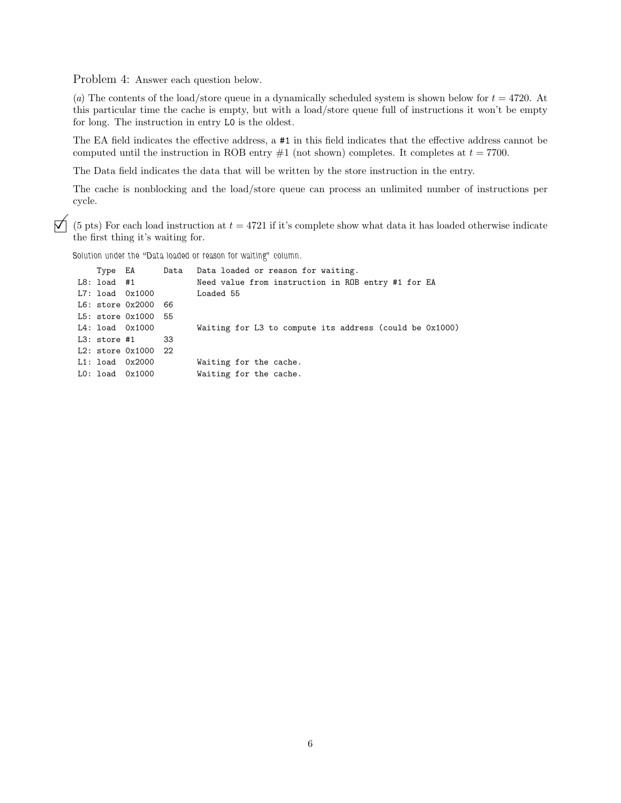Problem 4: Answer each question below.

(a) The contents of the load/store queue in a dynamically scheduled system is shown below for  $t = 4720$ . At this particular time the cache is empty, but with a load/store queue full of instructions it won't be empty for long. The instruction in entry L0 is the oldest.

The EA field indicates the effective address, a #1 in this field indicates that the effective address cannot be computed until the instruction in ROB entry  $\#1$  (not shown) completes. It completes at  $t = 7700$ .

The Data field indicates the data that will be written by the store instruction in the entry.

The cache is nonblocking and the load/store queue can process an unlimited number of instructions per cycle.

 $\vec{\nabla}$  (5 pts) For each load instruction at  $t = 4721$  if it's complete show what data it has loaded otherwise indicate the first thing it's waiting for.

*Solution under the "Data loaded or reason for waiting" column.*

|                |                         |     | Type EA Data Data loaded or reason for waiting.         |
|----------------|-------------------------|-----|---------------------------------------------------------|
| L8: load #1    |                         |     | Need value from instruction in ROB entry #1 for EA      |
|                | L7: load 0x1000         |     | Loaded 55                                               |
|                | L6: store 0x2000 66     |     |                                                         |
|                | L5: store 0x1000 55     |     |                                                         |
|                | $L4:$ load $0x1000$     |     | Waiting for L3 to compute its address (could be 0x1000) |
| $L3:$ store #1 |                         | -33 |                                                         |
|                | $L2:$ store $0x1000$ 22 |     |                                                         |
|                | $L1:$ load $0x2000$     |     | Waiting for the cache.                                  |
|                | $LO:$ load $0x1000$     |     | Waiting for the cache.                                  |
|                |                         |     |                                                         |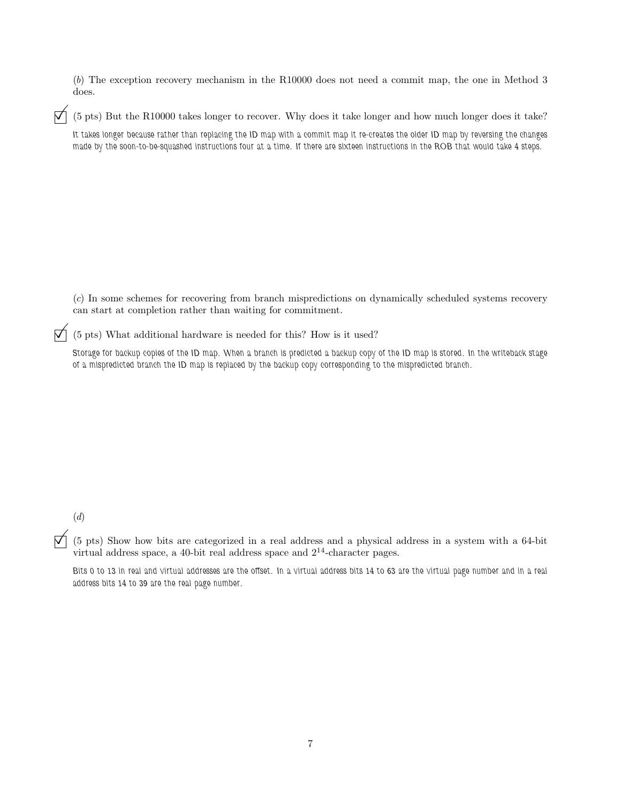(b) The exception recovery mechanism in the R10000 does not need a commit map, the one in Method 3 does.

 $\forall$  (5 pts) But the R10000 takes longer to recover. Why does it take longer and how much longer does it take?

*It takes longer because rather than replacing the ID map with a commit map it re-creates the older ID map by reversing the changes made by the soon-to-be-squashed instructions four at a time. If there are sixteen instructions in the ROB that would take 4 steps.*

(c) In some schemes for recovering from branch mispredictions on dynamically scheduled systems recovery can start at completion rather than waiting for commitment.

 $\overrightarrow{\mathsf{M}}$  (5 pts) What additional hardware is needed for this? How is it used?

*Storage for backup copies of the ID map. When a branch is predicted a backup copy of the ID map is stored. In the writeback stage of a mispredicted branch the ID map is replaced by the backup copy corresponding to the mispredicted branch.*

(d)

 $\overline{V}$  (5 pts) Show how bits are categorized in a real address and a physical address in a system with a 64-bit virtual address space, a 40-bit real address space and  $2^{14}$ -character pages.

*Bits 0 to 13 in real and virtual addresses are the offset. In a virtual address bits 14 to 63 are the virtual page number and in a real address bits 14 to 39 are the real page number.*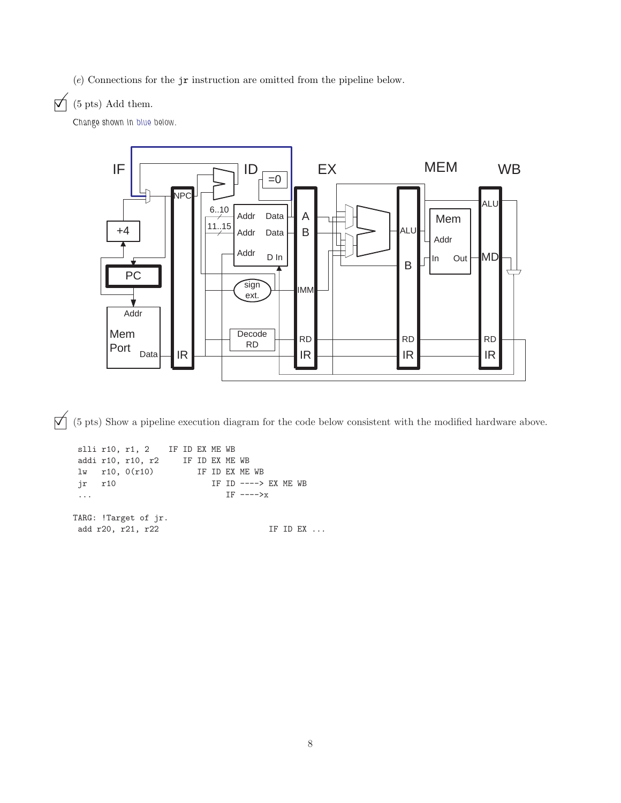(e) Connections for the jr instruction are omitted from the pipeline below.

## $\overrightarrow{\mathsf{M}}$  (5 pts) Add them.

*Change shown in blue below.*



 $\overrightarrow{p}$  (5 pts) Show a pipeline execution diagram for the code below consistent with the modified hardware above.

```
slli r10, r1, 2 IF ID EX ME WB
addi r10, r10, r2 IF ID EX ME WB
lw r10, 0(r10) IF ID EX ME WB
jr r10 IF ID ----> EX ME WB
... IF ---->x
TARG: !Target of jr.
add r20, r21, r22 IF ID EX ...
```